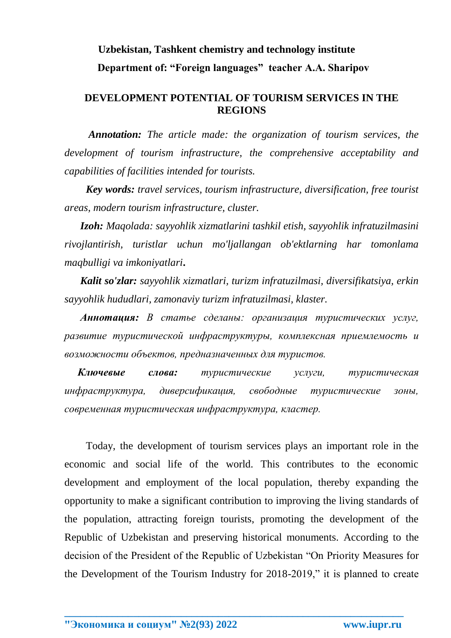## **Uzbekistan, Tashkent chemistry and technology institute Department of: "Foreign languages" teacher A.A. Sharipov**

## **DEVELOPMENT POTENTIAL OF TOURISM SERVICES IN THE REGIONS**

*Annotation: The article made: the organization of tourism services, the development of tourism infrastructure, the comprehensive acceptability and capabilities of facilities intended for tourists.*

*Key words: travel services, tourism infrastructure, diversification, free tourist areas, modern tourism infrastructure, cluster.*

*Izoh: Maqolada: sayyohlik xizmatlarini tashkil etish, sayyohlik infratuzilmasini rivojlantirish, turistlar uchun mo'ljallangan ob'ektlarning har tomonlama maqbulligi va imkoniyatlari***.**

 *Kalit so'zlar: sayyohlik xizmatlari, turizm infratuzilmasi, diversifikatsiya, erkin sayyohlik hududlari, zamonaviy turizm infratuzilmasi, klaster.*

 *Аннотация: В статье сделаны: организация туристических услуг, развитие туристической инфраструктуры, комплексная приемлемость и возможности объектов, предназначенных для туристов.*

 *Ключевые слова: туристические услуги, туристическая инфраструктура, диверсификация, свободные туристические зоны, современная туристическая инфраструктура, кластер.*

Today, the development of tourism services plays an important role in the economic and social life of the world. This contributes to the economic development and employment of the local population, thereby expanding the opportunity to make a significant contribution to improving the living standards of the population, attracting foreign tourists, promoting the development of the Republic of Uzbekistan and preserving historical monuments. According to the decision of the President of the Republic of Uzbekistan "On Priority Measures for the Development of the Tourism Industry for 2018-2019," it is planned to create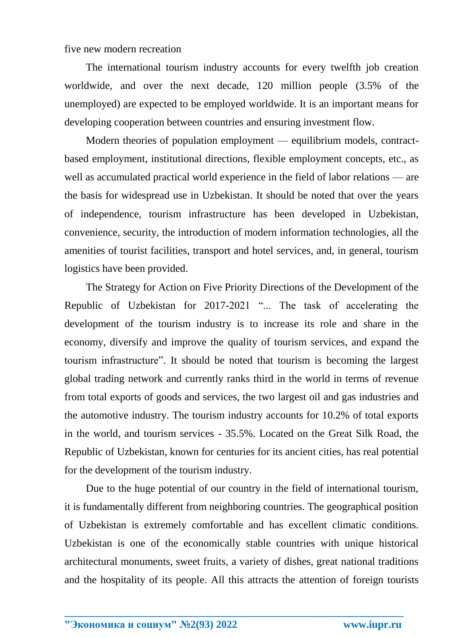five new modern recreation

The international tourism industry accounts for every twelfth job creation worldwide, and over the next decade, 120 million people (3.5% of the unemployed) are expected to be employed worldwide. It is an important means for developing cooperation between countries and ensuring investment flow.

Modern theories of population employment — equilibrium models, contractbased employment, institutional directions, flexible employment concepts, etc., as well as accumulated practical world experience in the field of labor relations — are the basis for widespread use in Uzbekistan. It should be noted that over the years of independence, tourism infrastructure has been developed in Uzbekistan, convenience, security, the introduction of modern information technologies, all the amenities of tourist facilities, transport and hotel services, and, in general, tourism logistics have been provided.

The Strategy for Action on Five Priority Directions of the Development of the Republic of Uzbekistan for 2017-2021 "... The task of accelerating the development of the tourism industry is to increase its role and share in the economy, diversify and improve the quality of tourism services, and expand the tourism infrastructure". It should be noted that tourism is becoming the largest global trading network and currently ranks third in the world in terms of revenue from total exports of goods and services, the two largest oil and gas industries and the automotive industry. The tourism industry accounts for 10.2% of total exports in the world, and tourism services - 35.5%. Located on the Great Silk Road, the Republic of Uzbekistan, known for centuries for its ancient cities, has real potential for the development of the tourism industry.

Due to the huge potential of our country in the field of international tourism, it is fundamentally different from neighboring countries. The geographical position of Uzbekistan is extremely comfortable and has excellent climatic conditions. Uzbekistan is one of the economically stable countries with unique historical architectural monuments, sweet fruits, a variety of dishes, great national traditions and the hospitality of its people. All this attracts the attention of foreign tourists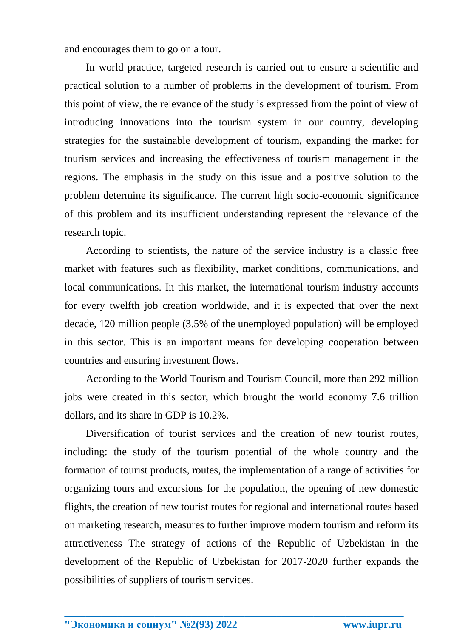and encourages them to go on a tour.

In world practice, targeted research is carried out to ensure a scientific and practical solution to a number of problems in the development of tourism. From this point of view, the relevance of the study is expressed from the point of view of introducing innovations into the tourism system in our country, developing strategies for the sustainable development of tourism, expanding the market for tourism services and increasing the effectiveness of tourism management in the regions. The emphasis in the study on this issue and a positive solution to the problem determine its significance. The current high socio-economic significance of this problem and its insufficient understanding represent the relevance of the research topic.

According to scientists, the nature of the service industry is a classic free market with features such as flexibility, market conditions, communications, and local communications. In this market, the international tourism industry accounts for every twelfth job creation worldwide, and it is expected that over the next decade, 120 million people (3.5% of the unemployed population) will be employed in this sector. This is an important means for developing cooperation between countries and ensuring investment flows.

According to the World Tourism and Tourism Council, more than 292 million jobs were created in this sector, which brought the world economy 7.6 trillion dollars, and its share in GDP is 10.2%.

Diversification of tourist services and the creation of new tourist routes, including: the study of the tourism potential of the whole country and the formation of tourist products, routes, the implementation of a range of activities for organizing tours and excursions for the population, the opening of new domestic flights, the creation of new tourist routes for regional and international routes based on marketing research, measures to further improve modern tourism and reform its attractiveness The strategy of actions of the Republic of Uzbekistan in the development of the Republic of Uzbekistan for 2017-2020 further expands the possibilities of suppliers of tourism services.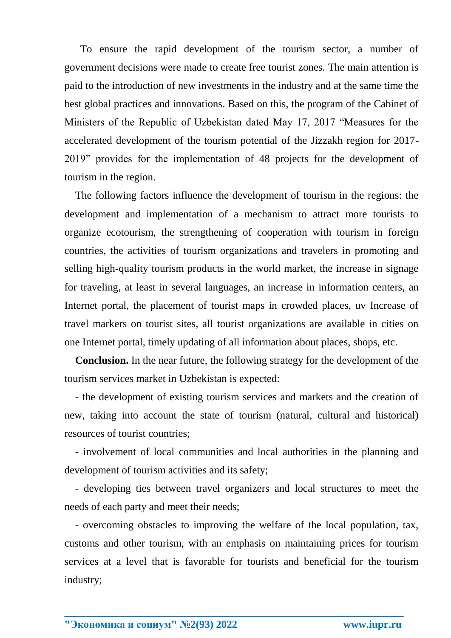To ensure the rapid development of the tourism sector, a number of government decisions were made to create free tourist zones. The main attention is paid to the introduction of new investments in the industry and at the same time the best global practices and innovations. Based on this, the program of the Cabinet of Ministers of the Republic of Uzbekistan dated May 17, 2017 "Measures for the accelerated development of the tourism potential of the Jizzakh region for 2017- 2019" provides for the implementation of 48 projects for the development of tourism in the region.

The following factors influence the development of tourism in the regions: the development and implementation of a mechanism to attract more tourists to organize ecotourism, the strengthening of cooperation with tourism in foreign countries, the activities of tourism organizations and travelers in promoting and selling high-quality tourism products in the world market, the increase in signage for traveling, at least in several languages, an increase in information centers, an Internet portal, the placement of tourist maps in crowded places, uv Increase of travel markers on tourist sites, all tourist organizations are available in cities on one Internet portal, timely updating of all information about places, shops, etc.

**Conclusion.** In the near future, the following strategy for the development of the tourism services market in Uzbekistan is expected:

- the development of existing tourism services and markets and the creation of new, taking into account the state of tourism (natural, cultural and historical) resources of tourist countries;

- involvement of local communities and local authorities in the planning and development of tourism activities and its safety;

- developing ties between travel organizers and local structures to meet the needs of each party and meet their needs;

- overcoming obstacles to improving the welfare of the local population, tax, customs and other tourism, with an emphasis on maintaining prices for tourism services at a level that is favorable for tourists and beneficial for the tourism industry;